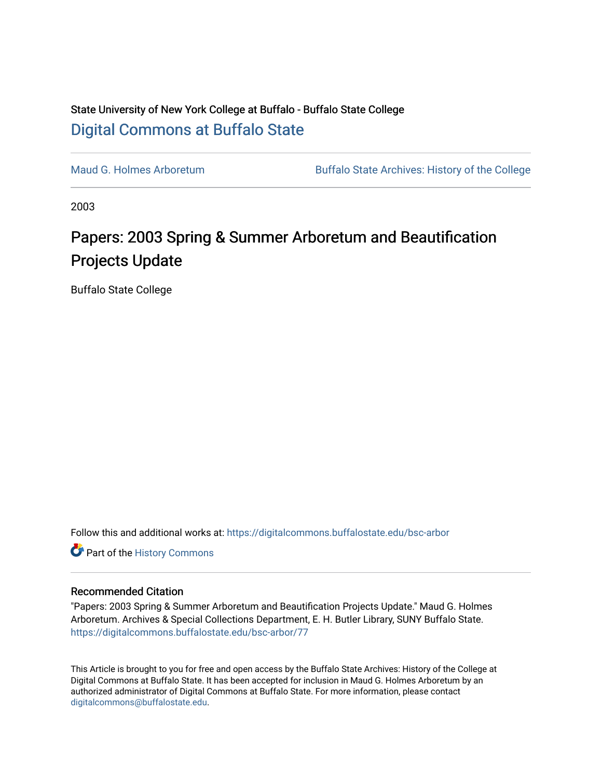## State University of New York College at Buffalo - Buffalo State College [Digital Commons at Buffalo State](https://digitalcommons.buffalostate.edu/)

[Maud G. Holmes Arboretum](https://digitalcommons.buffalostate.edu/bsc-arbor) Buffalo State Archives: History of the College

2003

## Papers: 2003 Spring & Summer Arboretum and Beautification Projects Update

Buffalo State College

Follow this and additional works at: [https://digitalcommons.buffalostate.edu/bsc-arbor](https://digitalcommons.buffalostate.edu/bsc-arbor?utm_source=digitalcommons.buffalostate.edu%2Fbsc-arbor%2F77&utm_medium=PDF&utm_campaign=PDFCoverPages) 

Part of the [History Commons](http://network.bepress.com/hgg/discipline/489?utm_source=digitalcommons.buffalostate.edu%2Fbsc-arbor%2F77&utm_medium=PDF&utm_campaign=PDFCoverPages) 

## Recommended Citation

"Papers: 2003 Spring & Summer Arboretum and Beautification Projects Update." Maud G. Holmes Arboretum. Archives & Special Collections Department, E. H. Butler Library, SUNY Buffalo State. [https://digitalcommons.buffalostate.edu/bsc-arbor/77](https://digitalcommons.buffalostate.edu/bsc-arbor/77?utm_source=digitalcommons.buffalostate.edu%2Fbsc-arbor%2F77&utm_medium=PDF&utm_campaign=PDFCoverPages) 

This Article is brought to you for free and open access by the Buffalo State Archives: History of the College at Digital Commons at Buffalo State. It has been accepted for inclusion in Maud G. Holmes Arboretum by an authorized administrator of Digital Commons at Buffalo State. For more information, please contact [digitalcommons@buffalostate.edu.](mailto:digitalcommons@buffalostate.edu)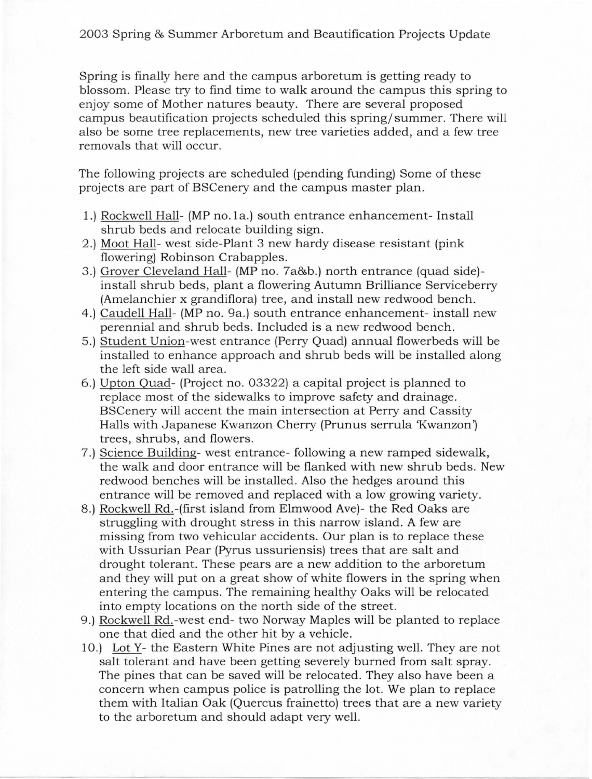Spring is finally here and the campus arboretum is getting ready to blossom. Please try to find time to walk around the campus this spring to enjoy some of Mother natures beauty. There are several proposed campus beautification projects scheduled this spring/ summer. There will also be some tree replacements, new tree varieties added, and a few tree removals that will occur.

The following projects are scheduled (pending funding) Some of these projects are part of BSCenery and the campus master plan.

- 1.) Rockwell Hall- (MP no. la.) south entrance enhancement- Install shrub beds and relocate building sign.
- 2 .) Moot Hall- west side-Plant 3 new hardy disease resistant (pink flowering) Robinson Crabapples.
- 3 .) Grover Cleveland Hall- (MP no. 7a&b.) north entrance (quad side) install shrub beds, plant a flowering Autumn Brilliance Serviceberry (Amelanchier x grandiflora) tree, and install new redwood bench.
- 4.) Caudell Hall- (MP no. 9a.) south entrance enhancement- install new perennial and shrub beds. Included is a new redwood bench.
- 5 .) Student Union-west entrance (Perry Quad) annual flowerbeds will be installed to enhance approach and shrub beds will be installed along the left side wall area.
- 6.) Upton Quad- (Project no. 03322) a capital project is planned to replace most of the sidewalks to improve safety and drainage. BSCenery will accent the main intersection at Perry and Cassity Halls with Japanese Kwanzon Cherry (Prunus serrula 'Kwanzon') trees, shrubs, and flowers.
- 7 .) Science Building- west entrance- following a new ramped sidewalk, the walk and door entrance will be flanked with new shrub beds. New redwood benches will be installed. Also the hedges around this entrance will be removed and replaced with a low growing variety.
- 8.) Rockwell Rd.-(first island from Elmwood Ave)- the Red Oaks are struggling with drought stress in this narrow island. A few are missing from two vehicular accidents. Our plan is to replace these with Ussurian Pear (Pyrus ussuriensis) trees that are salt and drought tolerant. These pears are a new addition to the arboretum and they will put on a great show of white flowers in the spring when entering the campus. The remaining healthy Oaks will be relocated into empty locations on the north side of the street.
- 9.) Rockwell Rd.-west end- two Norway Maples will be planted to replace one that died and the other hit by a vehicle.
- 10.) Lot Y- the Eastern White Pines are not adjusting well. They are not salt tolerant and have been getting severely burned from salt spray. The pines that can be saved will be relocated. They also have been a concern when campus police is patrolling the lot. We plan to replace them with Italian Oak (Quercus frainetto) trees that are a new variety to the arboretum and should adapt very well.